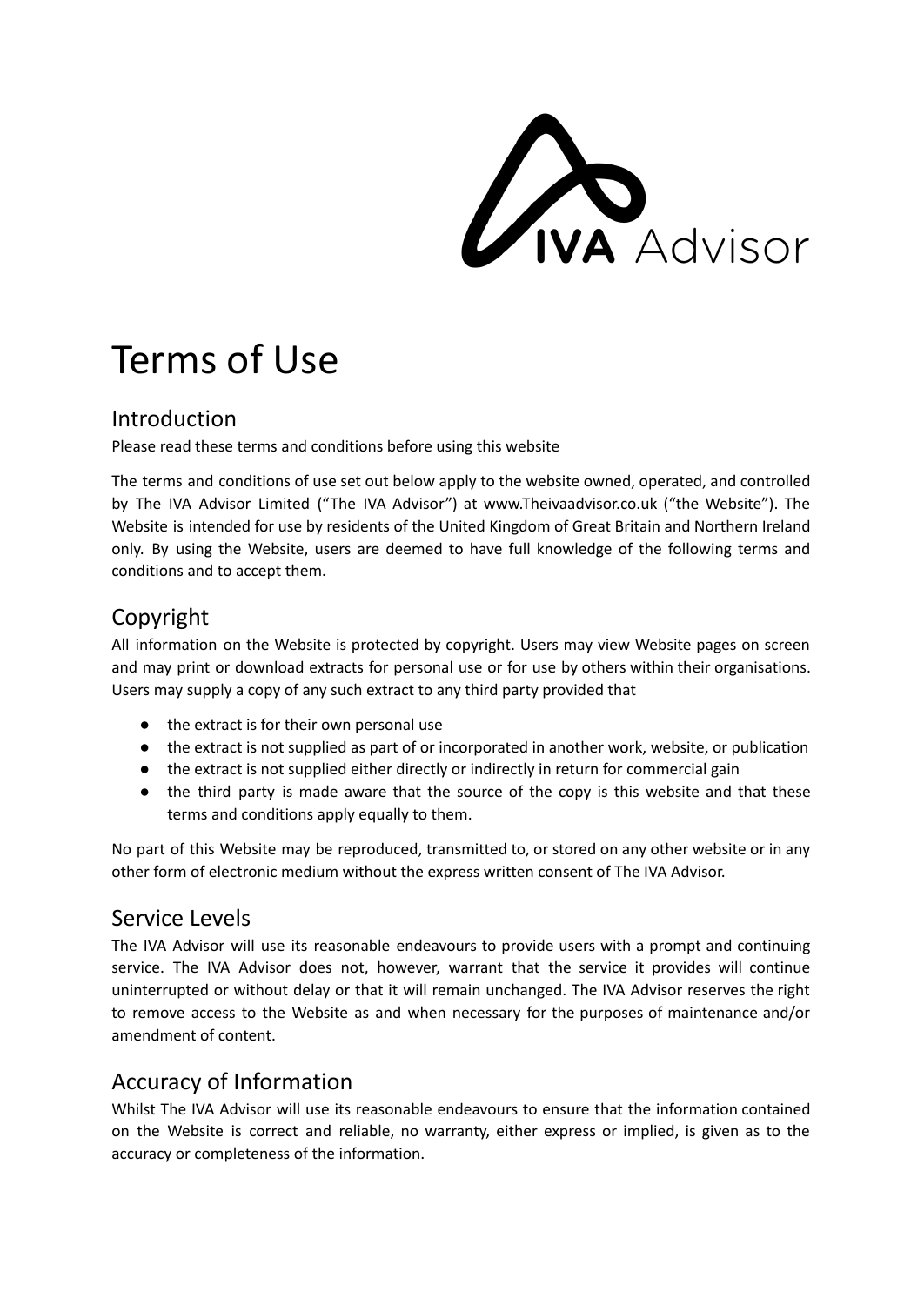**ANA Advisor** 

# Terms of Use

#### Introduction

Please read these terms and conditions before using this website

The terms and conditions of use set out below apply to the website owned, operated, and controlled by The IVA Advisor Limited ("The IVA Advisor") at www.Theivaadvisor.co.uk ("the Website"). The Website is intended for use by residents of the United Kingdom of Great Britain and Northern Ireland only. By using the Website, users are deemed to have full knowledge of the following terms and conditions and to accept them.

## Copyright

All information on the Website is protected by copyright. Users may view Website pages on screen and may print or download extracts for personal use or for use by others within their organisations. Users may supply a copy of any such extract to any third party provided that

- the extract is for their own personal use
- the extract is not supplied as part of or incorporated in another work, website, or publication
- the extract is not supplied either directly or indirectly in return for commercial gain
- the third party is made aware that the source of the copy is this website and that these terms and conditions apply equally to them.

No part of this Website may be reproduced, transmitted to, or stored on any other website or in any other form of electronic medium without the express written consent of The IVA Advisor.

### Service Levels

The IVA Advisor will use its reasonable endeavours to provide users with a prompt and continuing service. The IVA Advisor does not, however, warrant that the service it provides will continue uninterrupted or without delay or that it will remain unchanged. The IVA Advisor reserves the right to remove access to the Website as and when necessary for the purposes of maintenance and/or amendment of content.

## Accuracy of Information

Whilst The IVA Advisor will use its reasonable endeavours to ensure that the information contained on the Website is correct and reliable, no warranty, either express or implied, is given as to the accuracy or completeness of the information.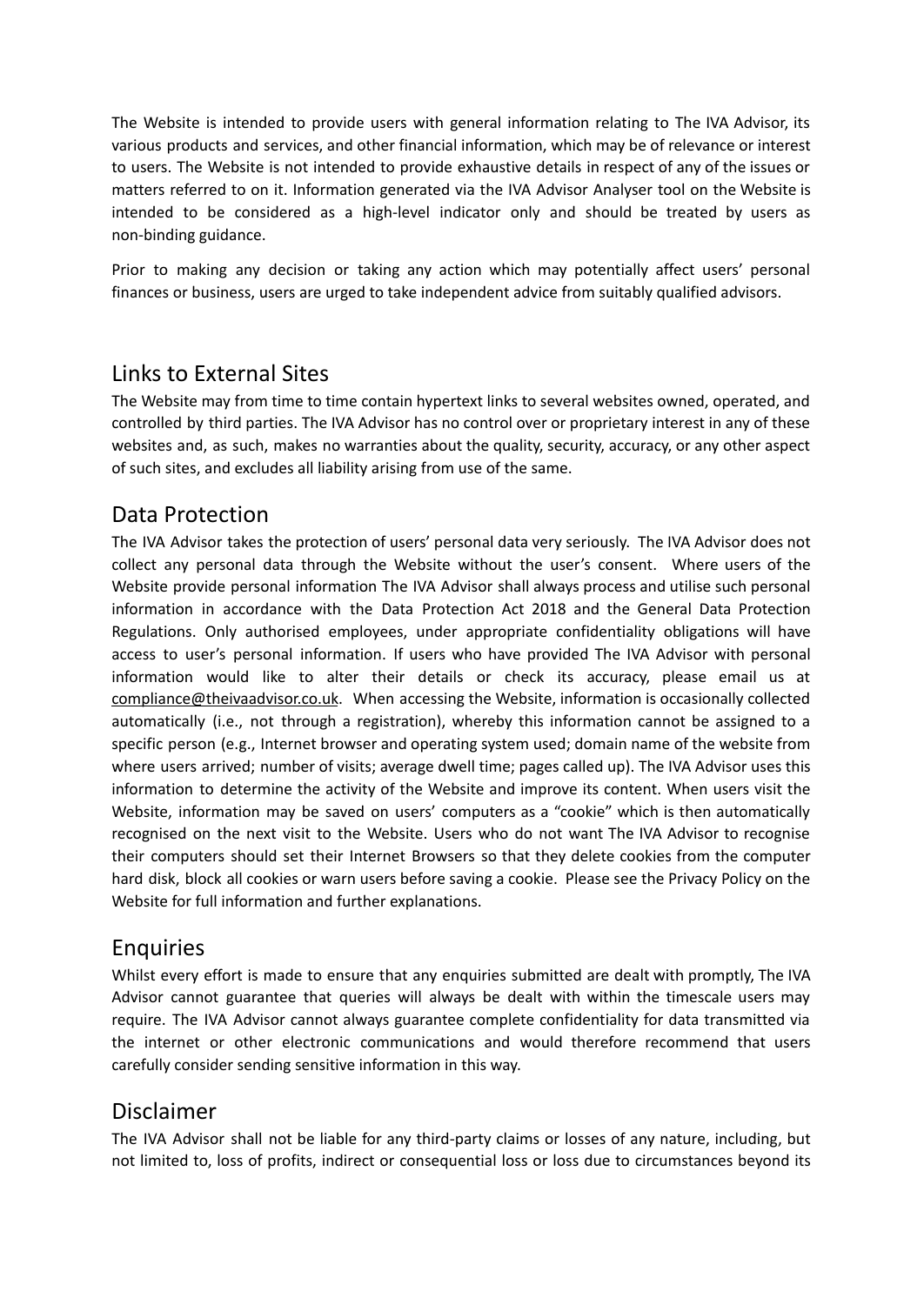The Website is intended to provide users with general information relating to The IVA Advisor, its various products and services, and other financial information, which may be of relevance or interest to users. The Website is not intended to provide exhaustive details in respect of any of the issues or matters referred to on it. Information generated via the IVA Advisor Analyser tool on the Website is intended to be considered as a high-level indicator only and should be treated by users as non-binding guidance.

Prior to making any decision or taking any action which may potentially affect users' personal finances or business, users are urged to take independent advice from suitably qualified advisors.

#### Links to External Sites

The Website may from time to time contain hypertext links to several websites owned, operated, and controlled by third parties. The IVA Advisor has no control over or proprietary interest in any of these websites and, as such, makes no warranties about the quality, security, accuracy, or any other aspect of such sites, and excludes all liability arising from use of the same.

#### Data Protection

The IVA Advisor takes the protection of users' personal data very seriously. The IVA Advisor does not collect any personal data through the Website without the user's consent. Where users of the Website provide personal information The IVA Advisor shall always process and utilise such personal information in accordance with the Data Protection Act 2018 and the General Data Protection Regulations. Only authorised employees, under appropriate confidentiality obligations will have access to user's personal information. If users who have provided The IVA Advisor with personal information would like to alter their details or check its accuracy, please email us at [compliance@theivaadvisor.co.uk](mailto:compliance@theivaadvisor.co.uk). When accessing the Website, information is occasionally collected automatically (i.e., not through a registration), whereby this information cannot be assigned to a specific person (e.g., Internet browser and operating system used; domain name of the website from where users arrived; number of visits; average dwell time; pages called up). The IVA Advisor uses this information to determine the activity of the Website and improve its content. When users visit the Website, information may be saved on users' computers as a "cookie" which is then automatically recognised on the next visit to the Website. Users who do not want The IVA Advisor to recognise their computers should set their Internet Browsers so that they delete cookies from the computer hard disk, block all cookies or warn users before saving a cookie. Please see the Privacy Policy on the Website for full information and further explanations.

#### Enquiries

Whilst every effort is made to ensure that any enquiries submitted are dealt with promptly, The IVA Advisor cannot guarantee that queries will always be dealt with within the timescale users may require. The IVA Advisor cannot always guarantee complete confidentiality for data transmitted via the internet or other electronic communications and would therefore recommend that users carefully consider sending sensitive information in this way.

#### Disclaimer

The IVA Advisor shall not be liable for any third-party claims or losses of any nature, including, but not limited to, loss of profits, indirect or consequential loss or loss due to circumstances beyond its